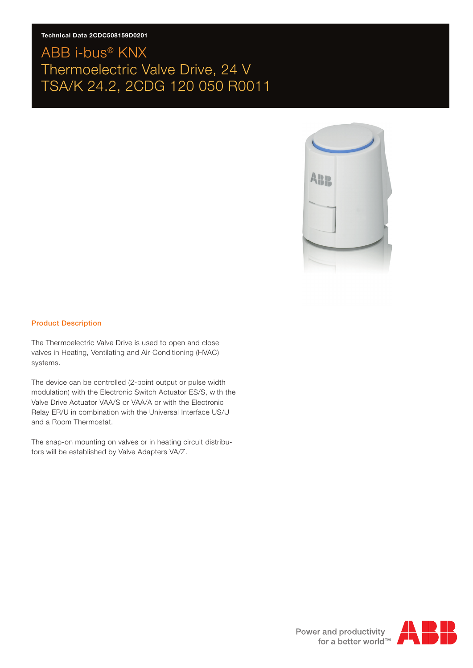#### **Technical Data 2CDC508159D0201**

# ABB i-bus® KNX Thermoelectric Valve Drive, 24 V TSA/K 24.2, 2CDG 120 050 R0011



#### Product Description

The Thermoelectric Valve Drive is used to open and close valves in Heating, Ventilating and Air-Conditioning (HVAC) systems.

The device can be controlled (2-point output or pulse width modulation) with the Electronic Switch Actuator ES/S, with the Valve Drive Actuator VAA/S or VAA/A or with the Electronic Relay ER/U in combination with the Universal Interface US/U and a Room Thermostat.

The snap-on mounting on valves or in heating circuit distributors will be established by Valve Adapters VA/Z.

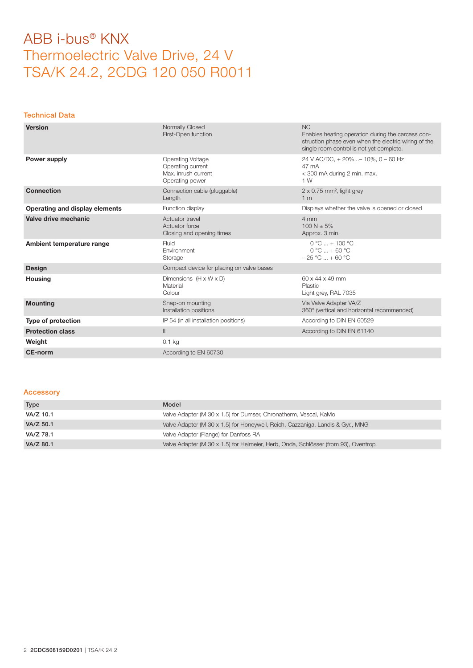#### Technical Data

| <b>Version</b>                 | Normally Closed<br>First-Open function                                                  | <b>NC</b><br>Enables heating operation during the carcass con-<br>struction phase even when the electric wiring of the<br>single room control is not yet complete. |
|--------------------------------|-----------------------------------------------------------------------------------------|--------------------------------------------------------------------------------------------------------------------------------------------------------------------|
| Power supply                   | <b>Operating Voltage</b><br>Operating current<br>Max. inrush current<br>Operating power | 24 V AC/DC, + 20%- 10%, 0 - 60 Hz<br>47 mA<br>< 300 mA during 2 min. max.<br>1 W                                                                                   |
| <b>Connection</b>              | Connection cable (pluggable)<br>Length                                                  | $2 \times 0.75$ mm <sup>2</sup> , light grey<br>1 <sub>m</sub>                                                                                                     |
| Operating and display elements | Function display                                                                        | Displays whether the valve is opened or closed                                                                                                                     |
| Valve drive mechanic           | Actuator travel<br>Actuator force<br>Closing and opening times                          | 4 mm<br>$100 N + 5%$<br>Approx. 3 min.                                                                                                                             |
|                                |                                                                                         |                                                                                                                                                                    |
| Ambient temperature range      | Fluid<br>Environment<br>Storage                                                         | $0 °C  + 100 °C$<br>$0 °C  + 60 °C$<br>$-25 °C  + 60 °C$                                                                                                           |
| <b>Design</b>                  | Compact device for placing on valve bases                                               |                                                                                                                                                                    |
| <b>Housing</b>                 | Dimensions $(H \times W \times D)$<br>Material<br>Colour                                | 60 x 44 x 49 mm<br>Plastic<br>Light grey, RAL 7035                                                                                                                 |
| <b>Mounting</b>                | Snap-on mounting<br>Installation positions                                              | Via Valve Adapter VA/Z<br>360° (vertical and horizontal recommended)                                                                                               |
| Type of protection             | IP 54 (in all installation positions)                                                   | According to DIN EN 60529                                                                                                                                          |
| <b>Protection class</b>        | $\mathbf{II}$                                                                           | According to DIN EN 61140                                                                                                                                          |
| Weight                         | $0.1$ kg                                                                                |                                                                                                                                                                    |

#### Accessory

| Type      | Model                                                                              |
|-----------|------------------------------------------------------------------------------------|
| VA/Z 10.1 | Valve Adapter (M 30 x 1.5) for Dumser, Chronatherm, Vescal, KaMo                   |
| VA/Z 50.1 | Valve Adapter (M 30 x 1.5) for Honeywell, Reich, Cazzaniga, Landis & Gyr., MNG     |
| VA/Z 78.1 | Valve Adapter (Flange) for Danfoss RA                                              |
| VA/Z 80.1 | Valve Adapter (M 30 x 1.5) for Heimeier, Herb, Onda, Schlösser (from 93), Oventrop |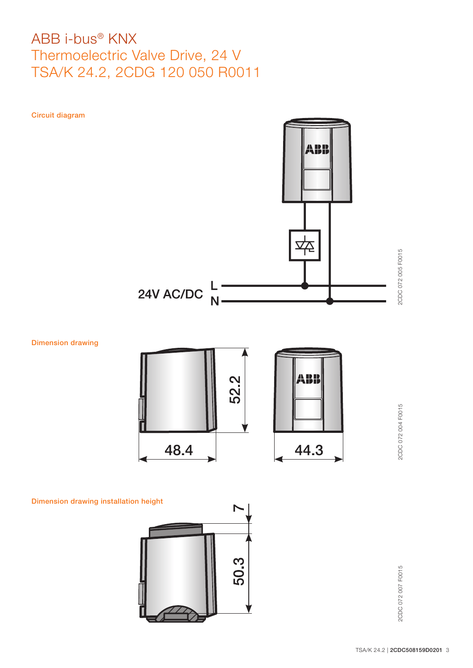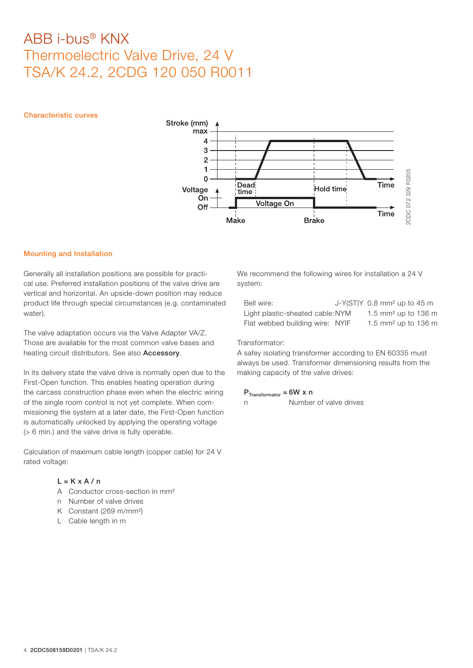#### Characteristic curves



#### Mounting and Installation

Generally all installation positions are possible for practical use. Preferred installation positions of the valve drive are vertical and horizontal. An upside-down position may reduce product life through special circumstances (e.g. contaminated water).

The valve adaptation occurs via the Valve Adapter VA/Z. Those are available for the most common valve bases and heating circuit distributors. See also **Accessory**.

In its delivery state the valve drive is normally open due to the First-Open function. This enables heating operation during the carcass construction phase even when the electric wiring of the single room control is not yet complete. When commissioning the system at a later date, the First-Open function is automatically unlocked by applying the operating voltage (> 6 min.) and the valve drive is fully operable.

Calculation of maximum cable length (copper cable) for 24 V rated voltage:

### $L = K \times A / n$

- A Conductor cross-section in mm<sup>2</sup>
- n Number of valve drives
- K Constant (269 m/mm²)
- L Cable length in m

We recommend the following wires for installation a 24 V system:

| Bell wire:                       | $J-Y(ST)Y$ 0.8 mm <sup>2</sup> up to 45 m |
|----------------------------------|-------------------------------------------|
| Light plastic-sheated cable: NYM | 1.5 mm <sup>2</sup> up to 136 m           |
| Flat webbed building wire: NYIF  | 1.5 mm <sup>2</sup> up to 136 m           |

#### Transformator:

A safey isolating transformer according to EN 60335 must always be used. Transformer dimensioning results from the making capacity of the valve drives:

### $P_{\text{Transformator}} = 6W \times n$

n Number of valve drives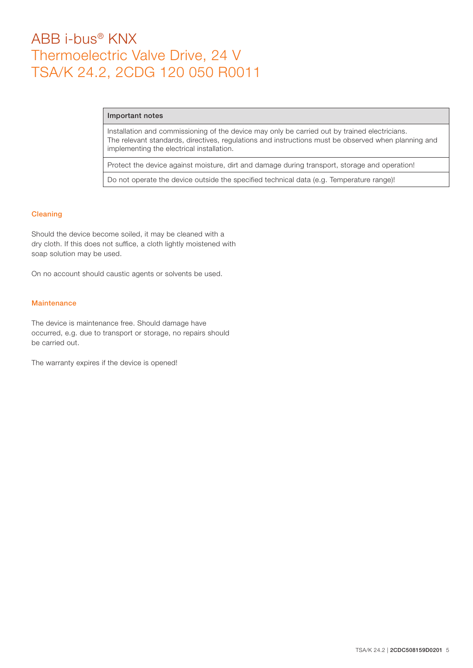#### Important notes

Installation and commissioning of the device may only be carried out by trained electricians. The relevant standards, directives, regulations and instructions must be observed when planning and implementing the electrical installation.

Protect the device against moisture, dirt and damage during transport, storage and operation!

Do not operate the device outside the specified technical data (e.g. Temperature range)!

#### Cleaning

Should the device become soiled, it may be cleaned with a dry cloth. If this does not suffice, a cloth lightly moistened with soap solution may be used.

On no account should caustic agents or solvents be used.

### **Maintenance**

The device is maintenance free. Should damage have occurred, e.g. due to transport or storage, no repairs should be carried out.

The warranty expires if the device is opened!